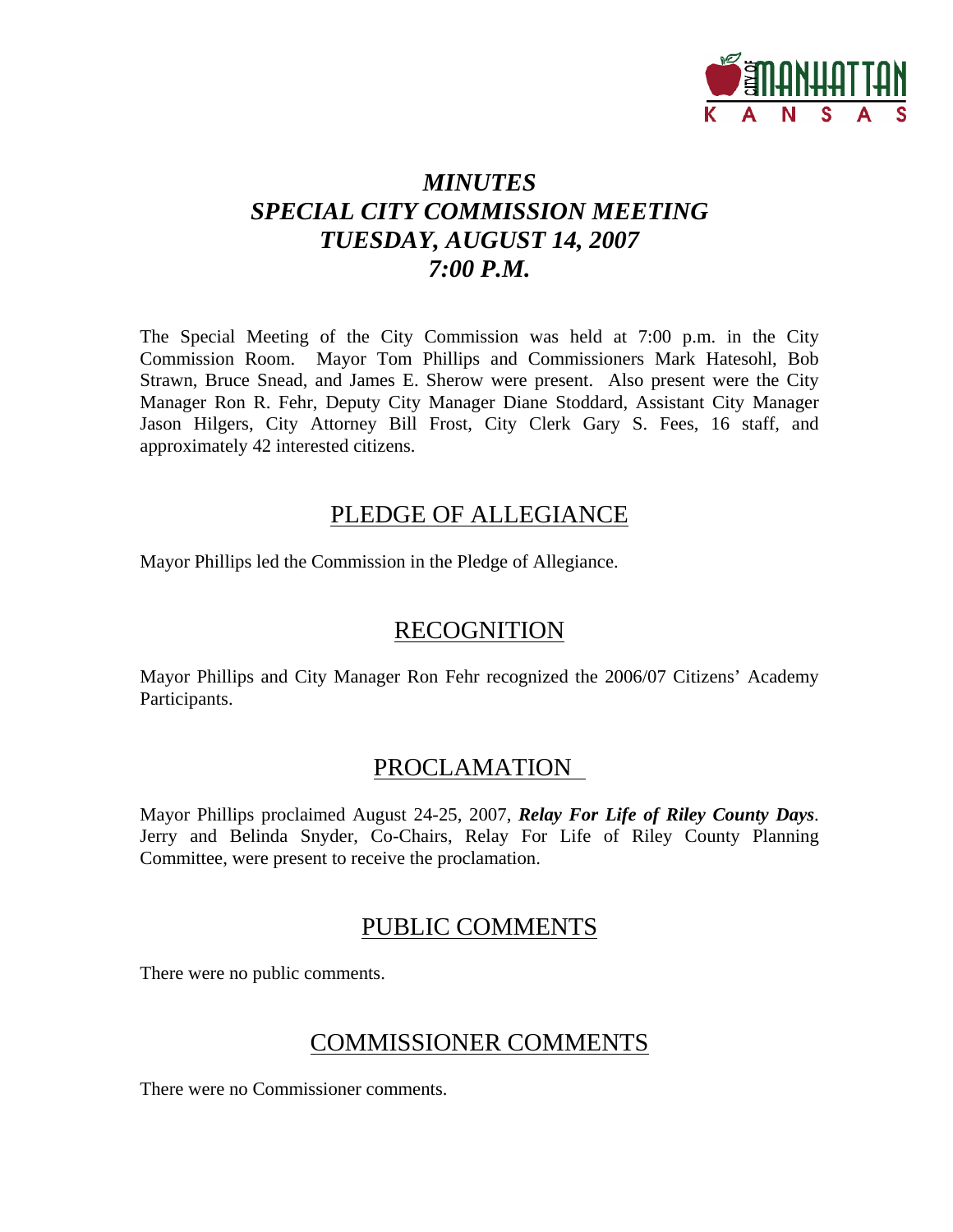

# *MINUTES SPECIAL CITY COMMISSION MEETING TUESDAY, AUGUST 14, 2007 7:00 P.M.*

The Special Meeting of the City Commission was held at 7:00 p.m. in the City Commission Room. Mayor Tom Phillips and Commissioners Mark Hatesohl, Bob Strawn, Bruce Snead, and James E. Sherow were present. Also present were the City Manager Ron R. Fehr, Deputy City Manager Diane Stoddard, Assistant City Manager Jason Hilgers, City Attorney Bill Frost, City Clerk Gary S. Fees, 16 staff, and approximately 42 interested citizens.

## PLEDGE OF ALLEGIANCE

Mayor Phillips led the Commission in the Pledge of Allegiance.

## RECOGNITION

Mayor Phillips and City Manager Ron Fehr recognized the 2006/07 Citizens' Academy Participants.

## PROCLAMATION

Mayor Phillips proclaimed August 24-25, 2007, *Relay For Life of Riley County Days*. Jerry and Belinda Snyder, Co-Chairs, Relay For Life of Riley County Planning Committee, were present to receive the proclamation.

# PUBLIC COMMENTS

There were no public comments.

## COMMISSIONER COMMENTS

There were no Commissioner comments.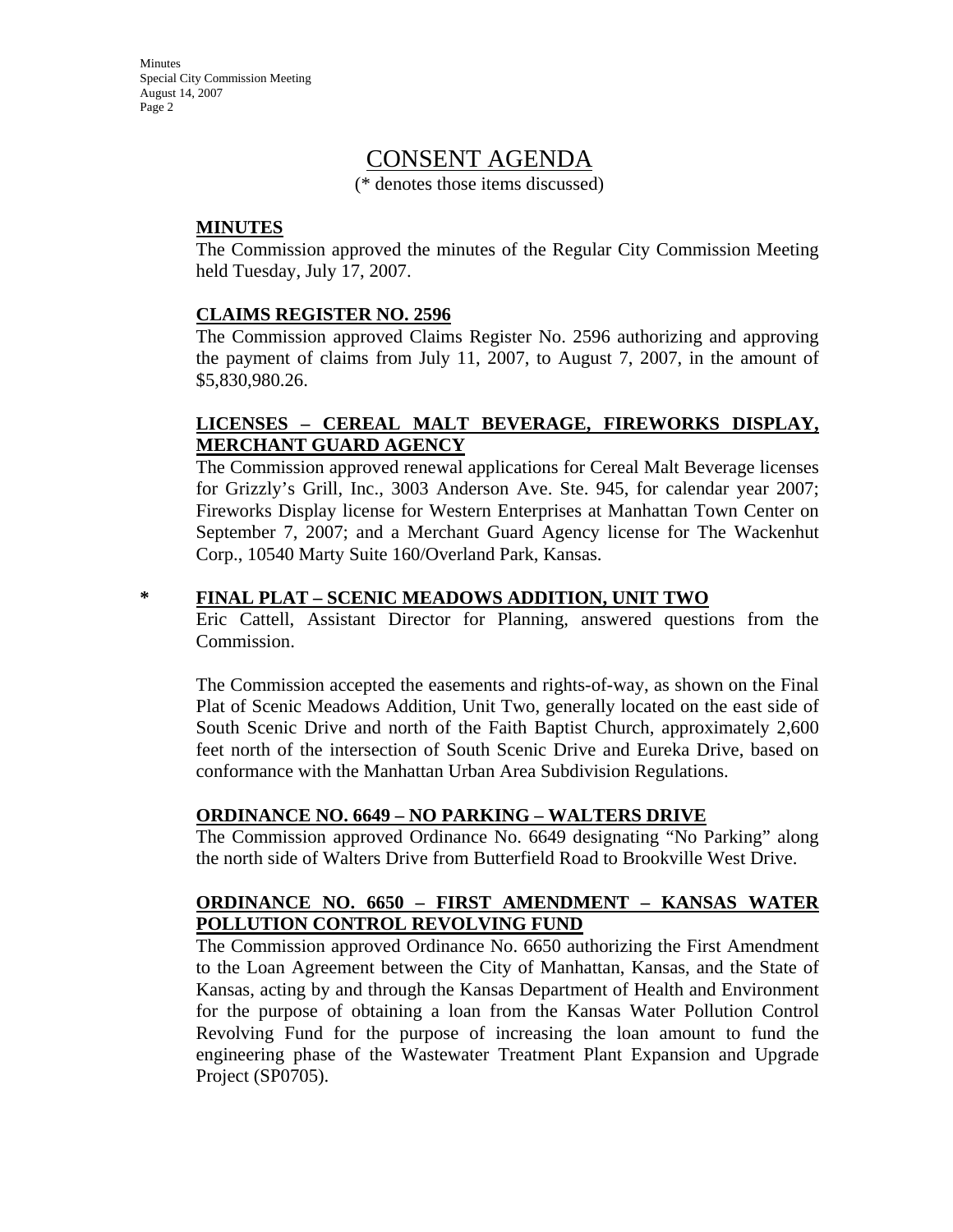**Minutes** Special City Commission Meeting August 14, 2007 Page 2

# CONSENT AGENDA

(\* denotes those items discussed)

#### **MINUTES**

The Commission approved the minutes of the Regular City Commission Meeting held Tuesday, July 17, 2007.

#### **CLAIMS REGISTER NO. 2596**

The Commission approved Claims Register No. 2596 authorizing and approving the payment of claims from July 11, 2007, to August 7, 2007, in the amount of \$5,830,980.26.

#### **LICENSES – CEREAL MALT BEVERAGE, FIREWORKS DISPLAY, MERCHANT GUARD AGENCY**

The Commission approved renewal applications for Cereal Malt Beverage licenses for Grizzly's Grill, Inc., 3003 Anderson Ave. Ste. 945, for calendar year 2007; Fireworks Display license for Western Enterprises at Manhattan Town Center on September 7, 2007; and a Merchant Guard Agency license for The Wackenhut Corp., 10540 Marty Suite 160/Overland Park, Kansas.

#### **\* FINAL PLAT – SCENIC MEADOWS ADDITION, UNIT TWO**

Eric Cattell, Assistant Director for Planning, answered questions from the Commission.

The Commission accepted the easements and rights-of-way, as shown on the Final Plat of Scenic Meadows Addition, Unit Two, generally located on the east side of South Scenic Drive and north of the Faith Baptist Church, approximately 2,600 feet north of the intersection of South Scenic Drive and Eureka Drive, based on conformance with the Manhattan Urban Area Subdivision Regulations.

#### **ORDINANCE NO. 6649 – NO PARKING – WALTERS DRIVE**

The Commission approved Ordinance No. 6649 designating "No Parking" along the north side of Walters Drive from Butterfield Road to Brookville West Drive.

### **ORDINANCE NO. 6650 – FIRST AMENDMENT – KANSAS WATER POLLUTION CONTROL REVOLVING FUND**

The Commission approved Ordinance No. 6650 authorizing the First Amendment to the Loan Agreement between the City of Manhattan, Kansas, and the State of Kansas, acting by and through the Kansas Department of Health and Environment for the purpose of obtaining a loan from the Kansas Water Pollution Control Revolving Fund for the purpose of increasing the loan amount to fund the engineering phase of the Wastewater Treatment Plant Expansion and Upgrade Project (SP0705).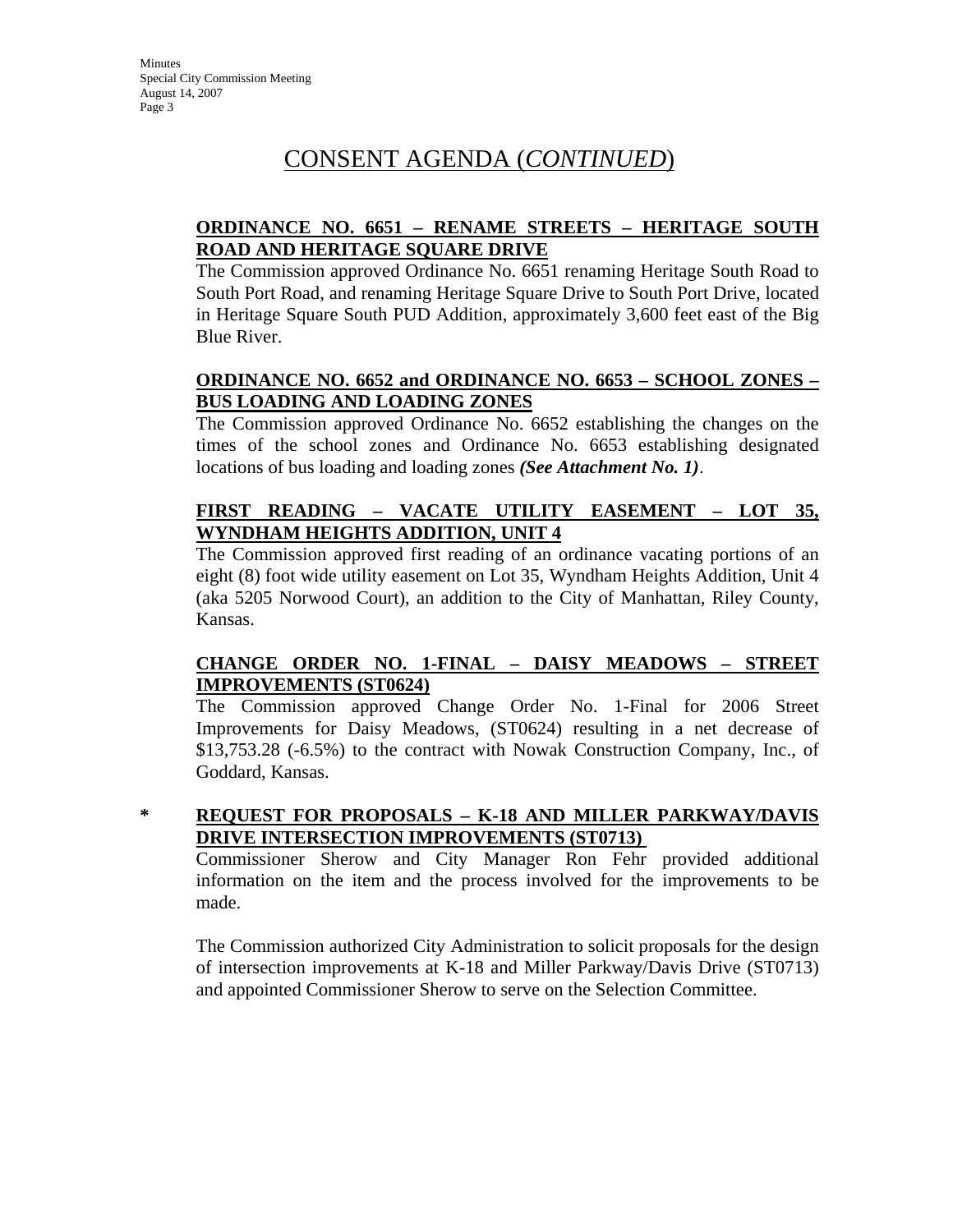# CONSENT AGENDA (*CONTINUED*)

### **ORDINANCE NO. 6651 – RENAME STREETS – HERITAGE SOUTH ROAD AND HERITAGE SQUARE DRIVE**

The Commission approved Ordinance No. 6651 renaming Heritage South Road to South Port Road, and renaming Heritage Square Drive to South Port Drive, located in Heritage Square South PUD Addition, approximately 3,600 feet east of the Big Blue River.

### **ORDINANCE NO. 6652 and ORDINANCE NO. 6653 – SCHOOL ZONES – BUS LOADING AND LOADING ZONES**

The Commission approved Ordinance No. 6652 establishing the changes on the times of the school zones and Ordinance No. 6653 establishing designated locations of bus loading and loading zones *(See Attachment No. 1)*.

### **FIRST READING – VACATE UTILITY EASEMENT – LOT 35, WYNDHAM HEIGHTS ADDITION, UNIT 4**

The Commission approved first reading of an ordinance vacating portions of an eight (8) foot wide utility easement on Lot 35, Wyndham Heights Addition, Unit 4 (aka 5205 Norwood Court), an addition to the City of Manhattan, Riley County, Kansas.

#### **CHANGE ORDER NO. 1-FINAL – DAISY MEADOWS – STREET IMPROVEMENTS (ST0624)**

The Commission approved Change Order No. 1-Final for 2006 Street Improvements for Daisy Meadows, (ST0624) resulting in a net decrease of \$13,753.28 (-6.5%) to the contract with Nowak Construction Company, Inc., of Goddard, Kansas.

### **\* REQUEST FOR PROPOSALS – K-18 AND MILLER PARKWAY/DAVIS DRIVE INTERSECTION IMPROVEMENTS (ST0713)**

Commissioner Sherow and City Manager Ron Fehr provided additional information on the item and the process involved for the improvements to be made.

The Commission authorized City Administration to solicit proposals for the design of intersection improvements at K-18 and Miller Parkway/Davis Drive (ST0713) and appointed Commissioner Sherow to serve on the Selection Committee.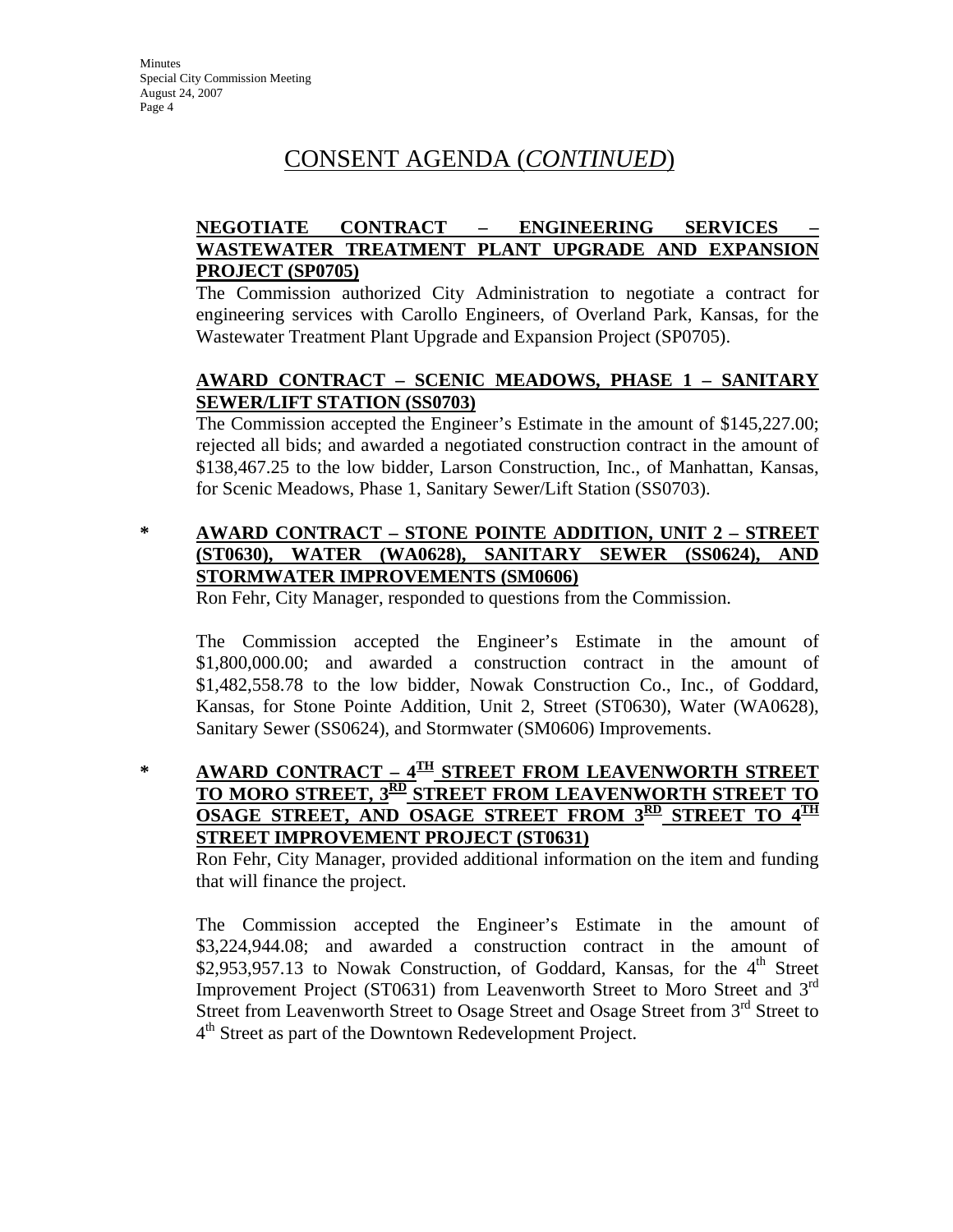# CONSENT AGENDA (*CONTINUED*)

## **NEGOTIATE CONTRACT – ENGINEERING SERVICES – WASTEWATER TREATMENT PLANT UPGRADE AND EXPANSION PROJECT (SP0705)**

The Commission authorized City Administration to negotiate a contract for engineering services with Carollo Engineers, of Overland Park, Kansas, for the Wastewater Treatment Plant Upgrade and Expansion Project (SP0705).

### **AWARD CONTRACT – SCENIC MEADOWS, PHASE 1 – SANITARY SEWER/LIFT STATION (SS0703)**

The Commission accepted the Engineer's Estimate in the amount of \$145,227.00; rejected all bids; and awarded a negotiated construction contract in the amount of \$138,467.25 to the low bidder, Larson Construction, Inc., of Manhattan, Kansas, for Scenic Meadows, Phase 1, Sanitary Sewer/Lift Station (SS0703).

### **\* AWARD CONTRACT – STONE POINTE ADDITION, UNIT 2 – STREET (ST0630), WATER (WA0628), SANITARY SEWER (SS0624), AND STORMWATER IMPROVEMENTS (SM0606)**

Ron Fehr, City Manager, responded to questions from the Commission.

The Commission accepted the Engineer's Estimate in the amount of \$1,800,000.00; and awarded a construction contract in the amount of \$1,482,558.78 to the low bidder, Nowak Construction Co., Inc., of Goddard, Kansas, for Stone Pointe Addition, Unit 2, Street (ST0630), Water (WA0628), Sanitary Sewer (SS0624), and Stormwater (SM0606) Improvements.

## **\* AWARD CONTRACT – 4TH STREET FROM LEAVENWORTH STREET TO MORO STREET, 3RD STREET FROM LEAVENWORTH STREET TO OSAGE STREET, AND OSAGE STREET FROM 3RD STREET TO STREET IMPROVEMENT PROJECT (ST0631)**

Ron Fehr, City Manager, provided additional information on the item and funding that will finance the project.

The Commission accepted the Engineer's Estimate in the amount of \$3,224,944.08; and awarded a construction contract in the amount of \$2,953,957.13 to Nowak Construction, of Goddard, Kansas, for the  $4<sup>th</sup>$  Street Improvement Project (ST0631) from Leavenworth Street to Moro Street and 3rd Street from Leavenworth Street to Osage Street and Osage Street from 3<sup>rd</sup> Street to 4<sup>th</sup> Street as part of the Downtown Redevelopment Project.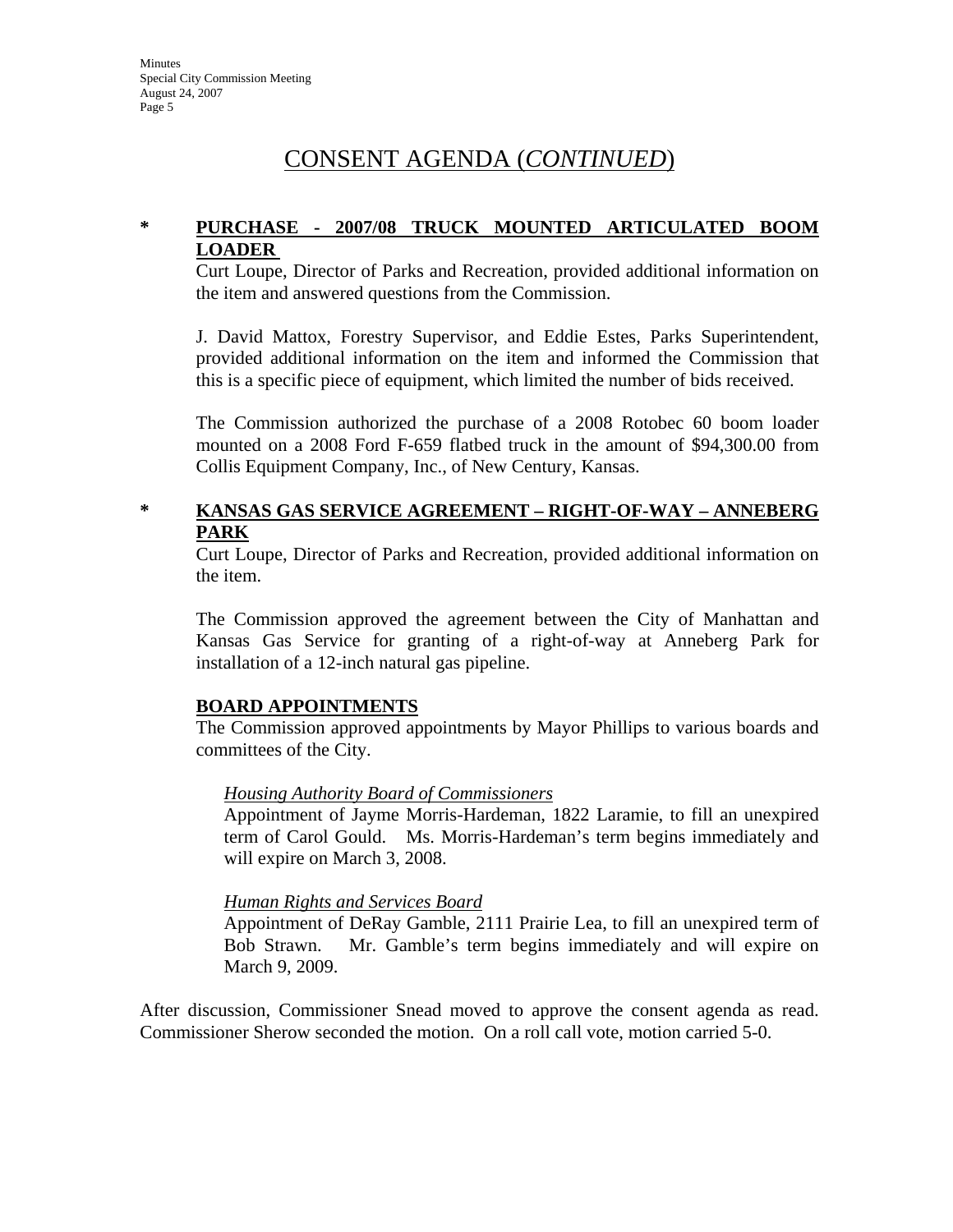# CONSENT AGENDA (*CONTINUED*)

### **\* PURCHASE - 2007/08 TRUCK MOUNTED ARTICULATED BOOM LOADER**

Curt Loupe, Director of Parks and Recreation, provided additional information on the item and answered questions from the Commission.

J. David Mattox, Forestry Supervisor, and Eddie Estes, Parks Superintendent, provided additional information on the item and informed the Commission that this is a specific piece of equipment, which limited the number of bids received.

The Commission authorized the purchase of a 2008 Rotobec 60 boom loader mounted on a 2008 Ford F-659 flatbed truck in the amount of \$94,300.00 from Collis Equipment Company, Inc., of New Century, Kansas.

#### **\* KANSAS GAS SERVICE AGREEMENT – RIGHT-OF-WAY – ANNEBERG PARK**

Curt Loupe, Director of Parks and Recreation, provided additional information on the item.

The Commission approved the agreement between the City of Manhattan and Kansas Gas Service for granting of a right-of-way at Anneberg Park for installation of a 12-inch natural gas pipeline.

#### **BOARD APPOINTMENTS**

The Commission approved appointments by Mayor Phillips to various boards and committees of the City.

#### *Housing Authority Board of Commissioners*

Appointment of Jayme Morris-Hardeman, 1822 Laramie, to fill an unexpired term of Carol Gould. Ms. Morris-Hardeman's term begins immediately and will expire on March 3, 2008.

#### *Human Rights and Services Board*

Appointment of DeRay Gamble, 2111 Prairie Lea, to fill an unexpired term of Bob Strawn. Mr. Gamble's term begins immediately and will expire on March 9, 2009.

After discussion, Commissioner Snead moved to approve the consent agenda as read. Commissioner Sherow seconded the motion. On a roll call vote, motion carried 5-0.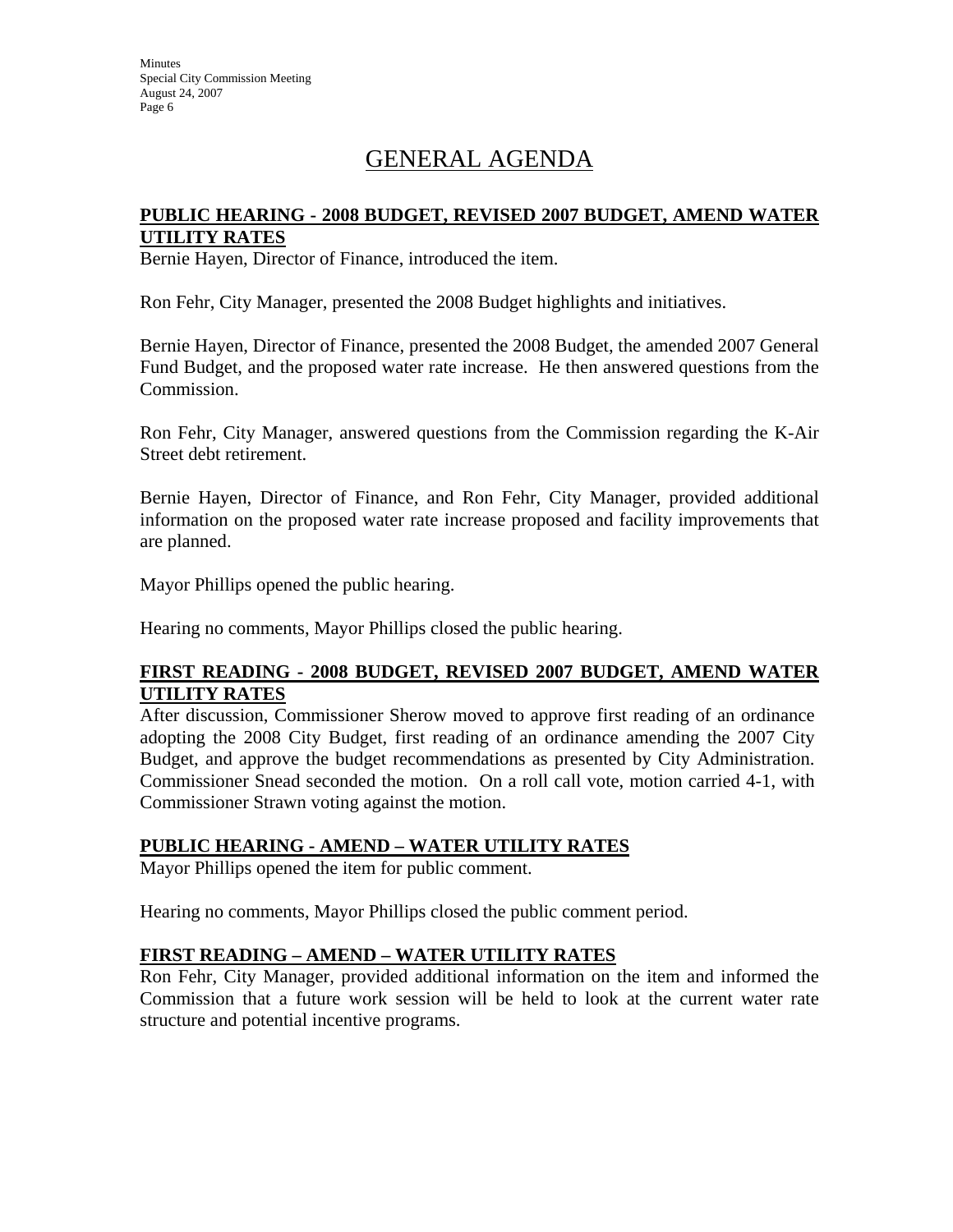**Minutes** Special City Commission Meeting August 24, 2007 Page 6

# GENERAL AGENDA

#### **PUBLIC HEARING - 2008 BUDGET, REVISED 2007 BUDGET, AMEND WATER UTILITY RATES**

Bernie Hayen, Director of Finance, introduced the item.

Ron Fehr, City Manager, presented the 2008 Budget highlights and initiatives.

Bernie Hayen, Director of Finance, presented the 2008 Budget, the amended 2007 General Fund Budget, and the proposed water rate increase. He then answered questions from the Commission.

Ron Fehr, City Manager, answered questions from the Commission regarding the K-Air Street debt retirement.

Bernie Hayen, Director of Finance, and Ron Fehr, City Manager, provided additional information on the proposed water rate increase proposed and facility improvements that are planned.

Mayor Phillips opened the public hearing.

Hearing no comments, Mayor Phillips closed the public hearing.

### **FIRST READING - 2008 BUDGET, REVISED 2007 BUDGET, AMEND WATER UTILITY RATES**

After discussion, Commissioner Sherow moved to approve first reading of an ordinance adopting the 2008 City Budget, first reading of an ordinance amending the 2007 City Budget, and approve the budget recommendations as presented by City Administration. Commissioner Snead seconded the motion. On a roll call vote, motion carried 4-1, with Commissioner Strawn voting against the motion.

#### **PUBLIC HEARING - AMEND – WATER UTILITY RATES**

Mayor Phillips opened the item for public comment.

Hearing no comments, Mayor Phillips closed the public comment period.

#### **FIRST READING – AMEND – WATER UTILITY RATES**

Ron Fehr, City Manager, provided additional information on the item and informed the Commission that a future work session will be held to look at the current water rate structure and potential incentive programs.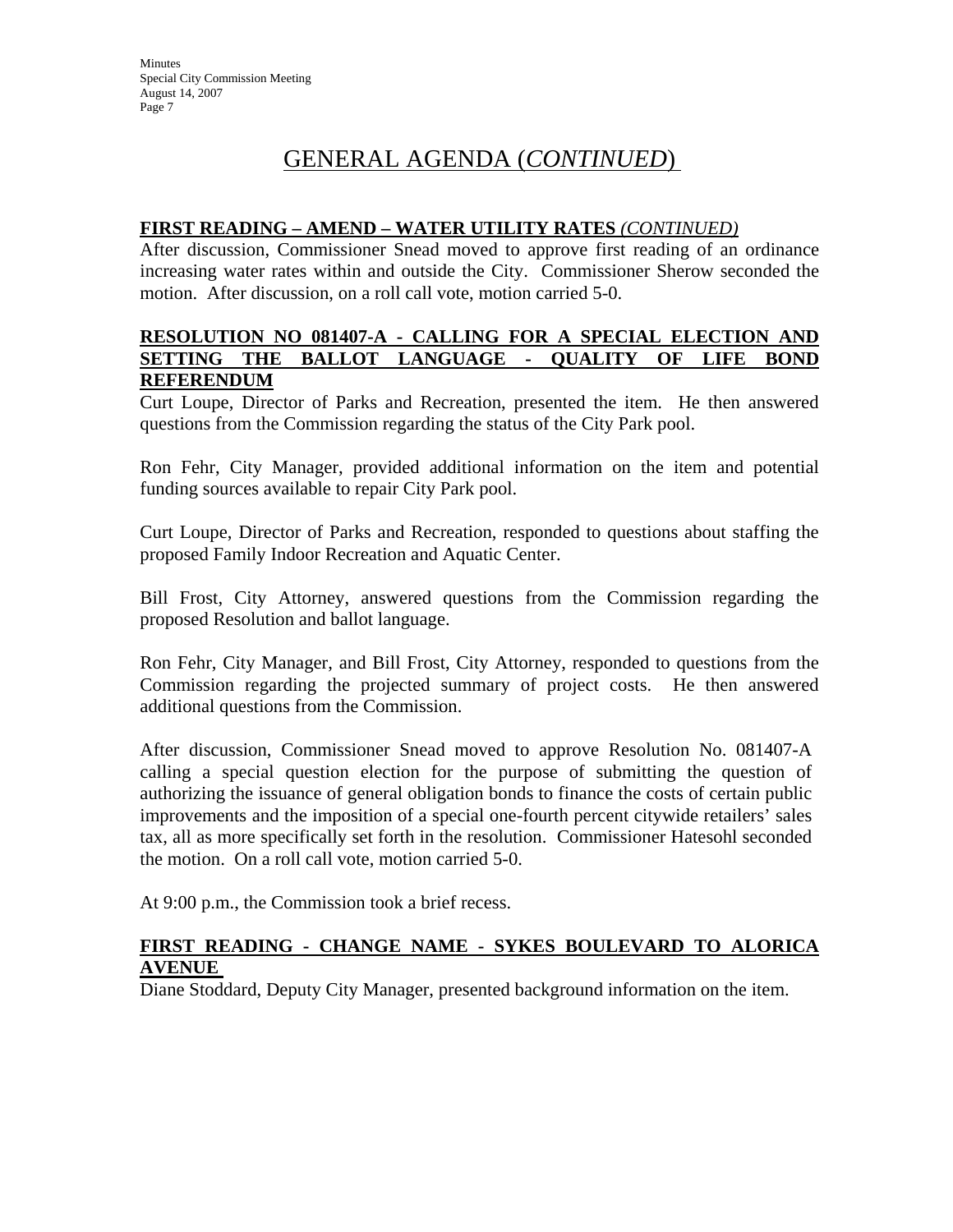# GENERAL AGENDA (*CONTINUED*)

#### **FIRST READING – AMEND – WATER UTILITY RATES** *(CONTINUED)*

After discussion, Commissioner Snead moved to approve first reading of an ordinance increasing water rates within and outside the City. Commissioner Sherow seconded the motion. After discussion, on a roll call vote, motion carried 5-0.

#### **RESOLUTION NO 081407-A - CALLING FOR A SPECIAL ELECTION AND SETTING THE BALLOT LANGUAGE - QUALITY OF LIFE BOND REFERENDUM**

Curt Loupe, Director of Parks and Recreation, presented the item. He then answered questions from the Commission regarding the status of the City Park pool.

Ron Fehr, City Manager, provided additional information on the item and potential funding sources available to repair City Park pool.

Curt Loupe, Director of Parks and Recreation, responded to questions about staffing the proposed Family Indoor Recreation and Aquatic Center.

Bill Frost, City Attorney, answered questions from the Commission regarding the proposed Resolution and ballot language.

Ron Fehr, City Manager, and Bill Frost, City Attorney, responded to questions from the Commission regarding the projected summary of project costs. He then answered additional questions from the Commission.

After discussion, Commissioner Snead moved to approve Resolution No. 081407-A calling a special question election for the purpose of submitting the question of authorizing the issuance of general obligation bonds to finance the costs of certain public improvements and the imposition of a special one-fourth percent citywide retailers' sales tax, all as more specifically set forth in the resolution. Commissioner Hatesohl seconded the motion. On a roll call vote, motion carried 5-0.

At 9:00 p.m., the Commission took a brief recess.

#### **FIRST READING - CHANGE NAME - SYKES BOULEVARD TO ALORICA AVENUE**

Diane Stoddard, Deputy City Manager, presented background information on the item.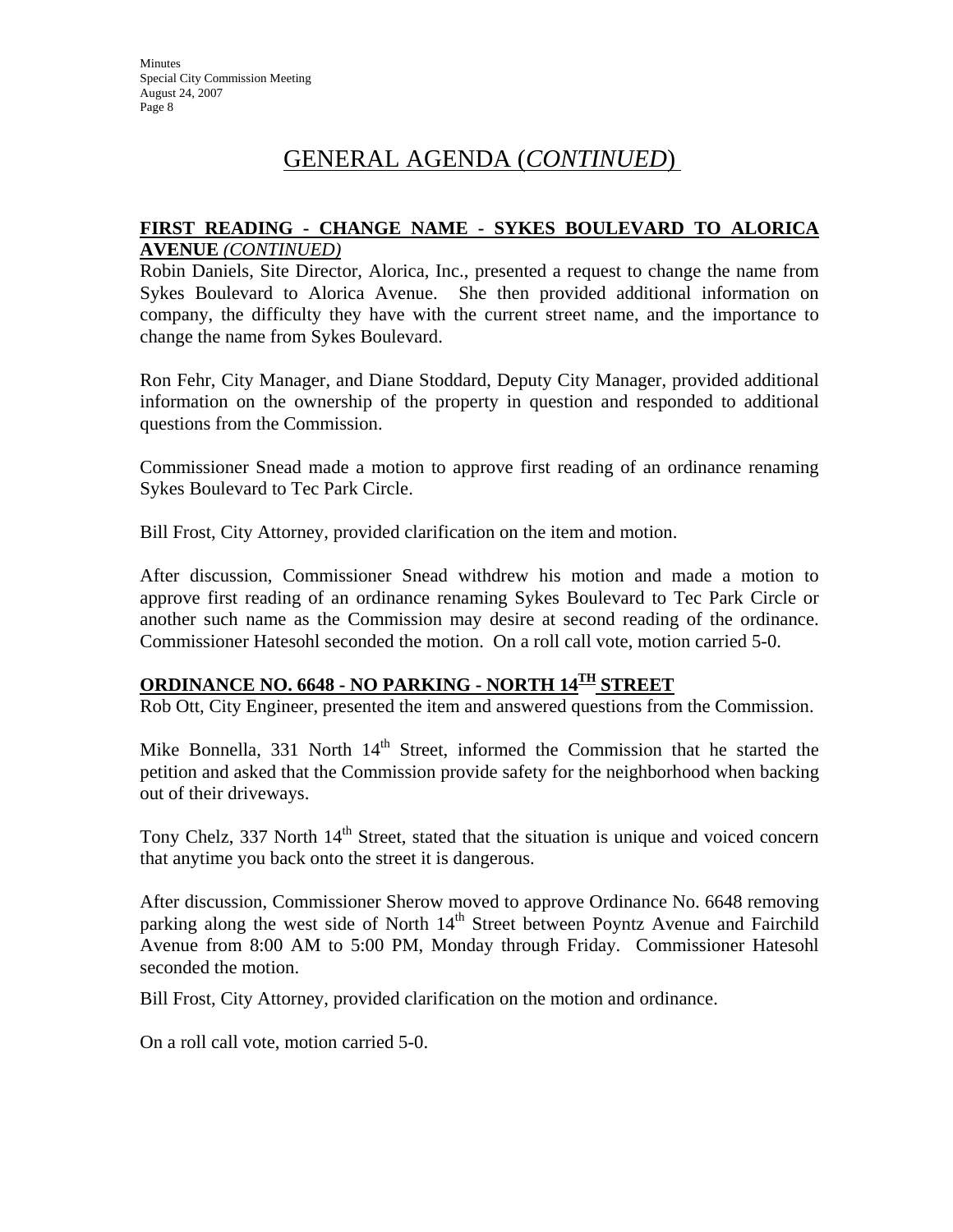# GENERAL AGENDA (*CONTINUED*)

#### **FIRST READING - CHANGE NAME - SYKES BOULEVARD TO ALORICA AVENUE** *(CONTINUED)*

Robin Daniels, Site Director, Alorica, Inc., presented a request to change the name from Sykes Boulevard to Alorica Avenue. She then provided additional information on company, the difficulty they have with the current street name, and the importance to change the name from Sykes Boulevard.

Ron Fehr, City Manager, and Diane Stoddard, Deputy City Manager, provided additional information on the ownership of the property in question and responded to additional questions from the Commission.

Commissioner Snead made a motion to approve first reading of an ordinance renaming Sykes Boulevard to Tec Park Circle.

Bill Frost, City Attorney, provided clarification on the item and motion.

After discussion, Commissioner Snead withdrew his motion and made a motion to approve first reading of an ordinance renaming Sykes Boulevard to Tec Park Circle or another such name as the Commission may desire at second reading of the ordinance. Commissioner Hatesohl seconded the motion. On a roll call vote, motion carried 5-0.

## **ORDINANCE NO. 6648 - NO PARKING - NORTH 14TH STREET**

Rob Ott, City Engineer, presented the item and answered questions from the Commission.

Mike Bonnella, 331 North  $14<sup>th</sup>$  Street, informed the Commission that he started the petition and asked that the Commission provide safety for the neighborhood when backing out of their driveways.

Tony Chelz, 337 North  $14<sup>th</sup>$  Street, stated that the situation is unique and voiced concern that anytime you back onto the street it is dangerous.

After discussion, Commissioner Sherow moved to approve Ordinance No. 6648 removing parking along the west side of North 14<sup>th</sup> Street between Poyntz Avenue and Fairchild Avenue from 8:00 AM to 5:00 PM, Monday through Friday. Commissioner Hatesohl seconded the motion.

Bill Frost, City Attorney, provided clarification on the motion and ordinance.

On a roll call vote, motion carried 5-0.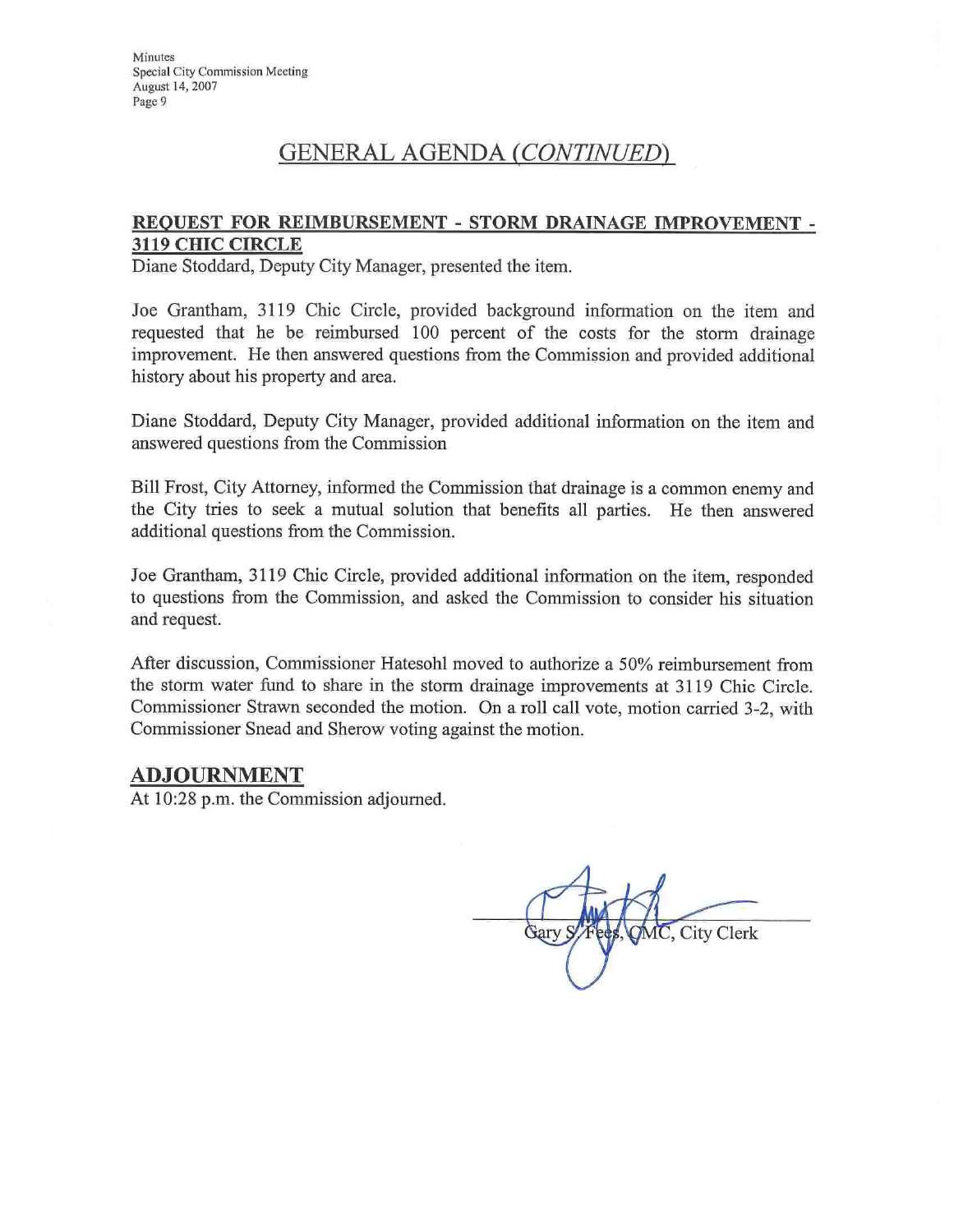# **GENERAL AGENDA (CONTINUED)**

#### REQUEST FOR REIMBURSEMENT - STORM DRAINAGE IMPROVEMENT -**3119 CHIC CIRCLE**

Diane Stoddard, Deputy City Manager, presented the item.

Joe Grantham, 3119 Chic Circle, provided background information on the item and requested that he be reimbursed 100 percent of the costs for the storm drainage improvement. He then answered questions from the Commission and provided additional history about his property and area.

Diane Stoddard, Deputy City Manager, provided additional information on the item and answered questions from the Commission

Bill Frost, City Attorney, informed the Commission that drainage is a common enemy and the City tries to seek a mutual solution that benefits all parties. He then answered additional questions from the Commission.

Joe Grantham, 3119 Chic Circle, provided additional information on the item, responded to questions from the Commission, and asked the Commission to consider his situation and request.

After discussion, Commissioner Hatesohl moved to authorize a 50% reimbursement from the storm water fund to share in the storm drainage improvements at 3119 Chic Circle. Commissioner Strawn seconded the motion. On a roll call vote, motion carried 3-2, with Commissioner Snead and Sherow voting against the motion.

#### **ADJOURNMENT**

At 10:28 p.m. the Commission adjourned.

MC, City Clerk